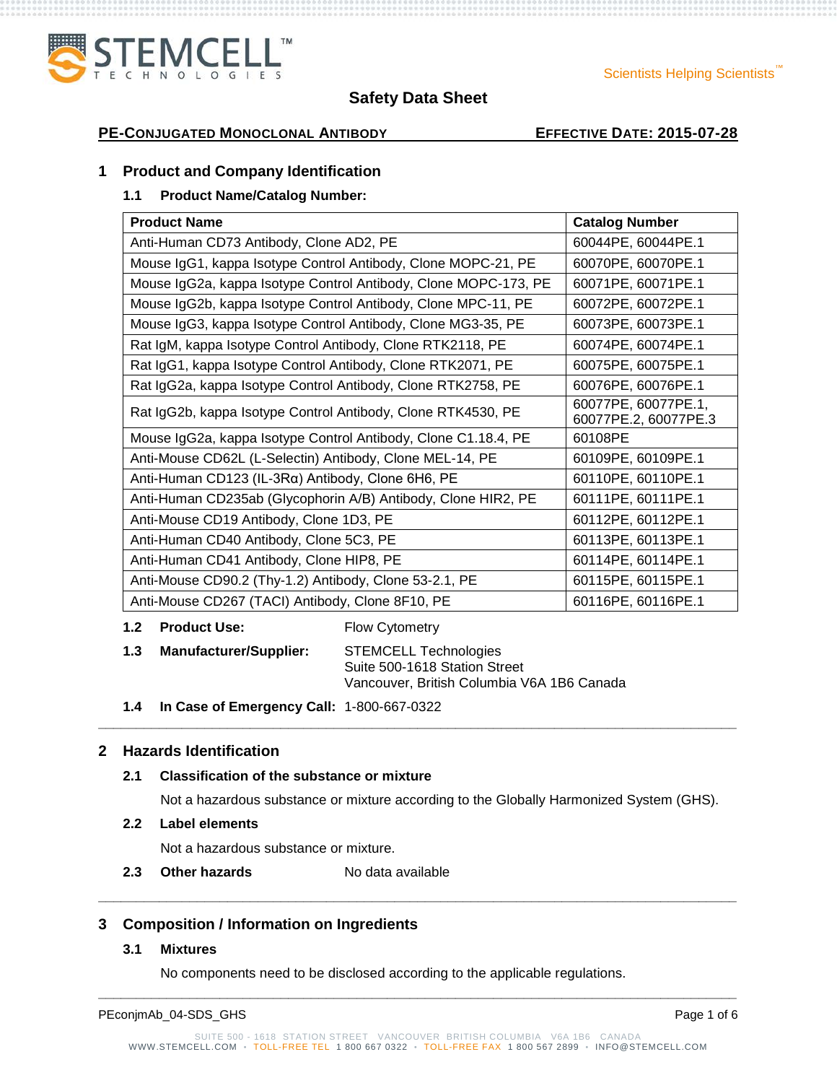# **PE-CONJUGATED MONOCLONAL ANTIBODY EFFECTIVE DATE: 2015-07-28**

## **1 Product and Company Identification**

## **1.1 Product Name/Catalog Number:**

| <b>Product Name</b>                                             | <b>Catalog Number</b>                       |
|-----------------------------------------------------------------|---------------------------------------------|
| Anti-Human CD73 Antibody, Clone AD2, PE                         | 60044PE, 60044PE.1                          |
| Mouse IgG1, kappa Isotype Control Antibody, Clone MOPC-21, PE   | 60070PE, 60070PE.1                          |
| Mouse IgG2a, kappa Isotype Control Antibody, Clone MOPC-173, PE | 60071PE, 60071PE.1                          |
| Mouse IgG2b, kappa Isotype Control Antibody, Clone MPC-11, PE   | 60072PE, 60072PE.1                          |
| Mouse IgG3, kappa Isotype Control Antibody, Clone MG3-35, PE    | 60073PE, 60073PE.1                          |
| Rat IgM, kappa Isotype Control Antibody, Clone RTK2118, PE      | 60074PE, 60074PE.1                          |
| Rat IgG1, kappa Isotype Control Antibody, Clone RTK2071, PE     | 60075PE, 60075PE.1                          |
| Rat IgG2a, kappa Isotype Control Antibody, Clone RTK2758, PE    | 60076PE, 60076PE.1                          |
| Rat IgG2b, kappa Isotype Control Antibody, Clone RTK4530, PE    | 60077PE, 60077PE.1,<br>60077PE.2, 60077PE.3 |
| Mouse IgG2a, kappa Isotype Control Antibody, Clone C1.18.4, PE  | 60108PE                                     |
| Anti-Mouse CD62L (L-Selectin) Antibody, Clone MEL-14, PE        | 60109PE, 60109PE.1                          |
| Anti-Human CD123 (IL-3Rα) Antibody, Clone 6H6, PE               | 60110PE, 60110PE.1                          |
| Anti-Human CD235ab (Glycophorin A/B) Antibody, Clone HIR2, PE   | 60111PE, 60111PE.1                          |
| Anti-Mouse CD19 Antibody, Clone 1D3, PE                         | 60112PE, 60112PE.1                          |
| Anti-Human CD40 Antibody, Clone 5C3, PE                         | 60113PE, 60113PE.1                          |
| Anti-Human CD41 Antibody, Clone HIP8, PE                        | 60114PE, 60114PE.1                          |
| Anti-Mouse CD90.2 (Thy-1.2) Antibody, Clone 53-2.1, PE          | 60115PE, 60115PE.1                          |
| Anti-Mouse CD267 (TACI) Antibody, Clone 8F10, PE                | 60116PE, 60116PE.1                          |

#### **1.2 Product Use:** Flow Cytometry

- **1.3 Manufacturer/Supplier:** STEMCELL Technologies Suite 500-1618 Station Street Vancouver, British Columbia V6A 1B6 Canada
- **1.4 In Case of Emergency Call:** 1-800-667-0322

## **2 Hazards Identification**

## **2.1 Classification of the substance or mixture**

Not a hazardous substance or mixture according to the Globally Harmonized System (GHS).

**\_\_\_\_\_\_\_\_\_\_\_\_\_\_\_\_\_\_\_\_\_\_\_\_\_\_\_\_\_\_\_\_\_\_\_\_\_\_\_\_\_\_\_\_\_\_\_\_\_\_\_\_\_\_\_\_\_\_\_\_\_\_\_\_\_\_\_\_\_\_\_\_\_\_\_\_\_\_\_\_\_\_\_\_**

# **2.2 Label elements**

Not a hazardous substance or mixture.

**2.3 Other hazards** No data available

## **3 Composition / Information on Ingredients**

## **3.1 Mixtures**

No components need to be disclosed according to the applicable regulations.

PEconjmAb\_04-SDS\_GHS Page 1 of 6

**\_\_\_\_\_\_\_\_\_\_\_\_\_\_\_\_\_\_\_\_\_\_\_\_\_\_\_\_\_\_\_\_\_\_\_\_\_\_\_\_\_\_\_\_\_\_\_\_\_\_\_\_\_\_\_\_\_\_\_\_\_\_\_\_\_\_\_\_\_\_\_\_\_\_\_\_\_\_\_\_\_\_\_\_**

**\_\_\_\_\_\_\_\_\_\_\_\_\_\_\_\_\_\_\_\_\_\_\_\_\_\_\_\_\_\_\_\_\_\_\_\_\_\_\_\_\_\_\_\_\_\_\_\_\_\_\_\_\_\_\_\_\_\_\_\_\_\_\_\_\_\_\_\_\_\_\_\_\_\_\_\_\_\_\_\_\_\_\_\_**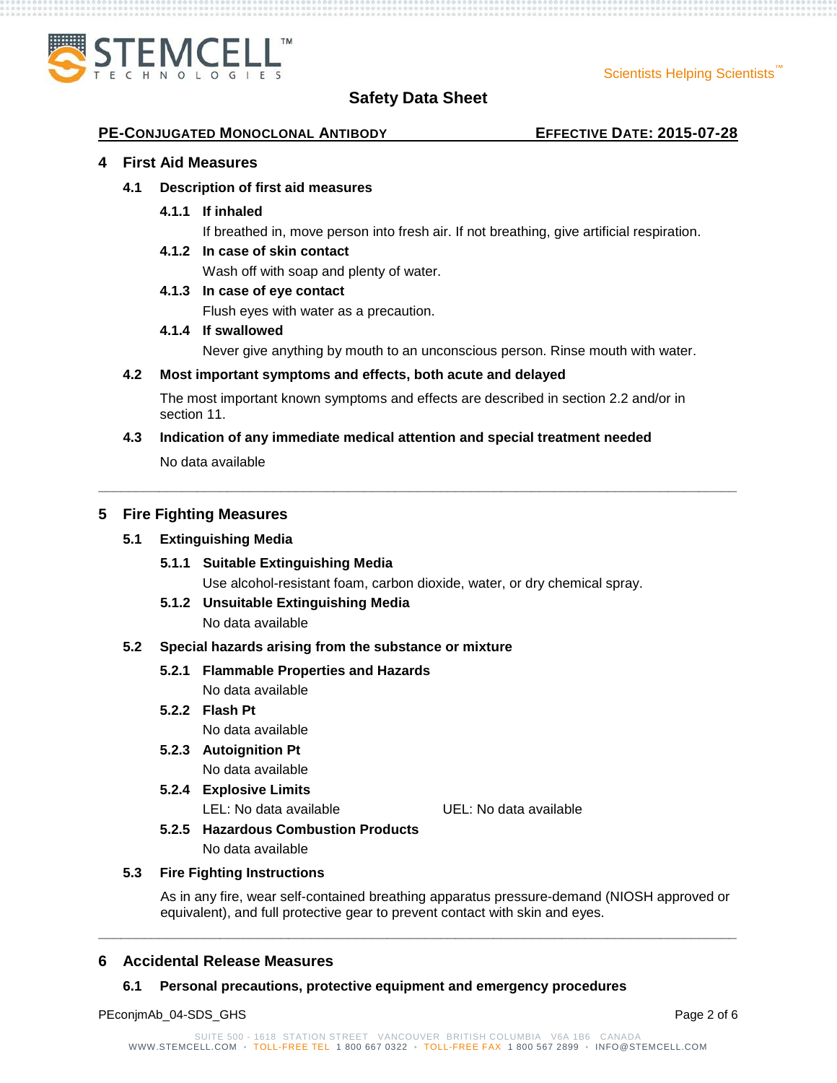

#### **PE-CONJUGATED MONOCLONAL ANTIBODY EFFECTIVE DATE: 2015-07-28**

#### **4 First Aid Measures**

#### **4.1 Description of first aid measures**

**4.1.1 If inhaled**

If breathed in, move person into fresh air. If not breathing, give artificial respiration.

#### **4.1.2 In case of skin contact**

Wash off with soap and plenty of water.

#### **4.1.3 In case of eye contact**

Flush eyes with water as a precaution.

#### **4.1.4 If swallowed**

Never give anything by mouth to an unconscious person. Rinse mouth with water.

#### **4.2 Most important symptoms and effects, both acute and delayed**

The most important known symptoms and effects are described in section 2.2 and/or in section 11.

**\_\_\_\_\_\_\_\_\_\_\_\_\_\_\_\_\_\_\_\_\_\_\_\_\_\_\_\_\_\_\_\_\_\_\_\_\_\_\_\_\_\_\_\_\_\_\_\_\_\_\_\_\_\_\_\_\_\_\_\_\_\_\_\_\_\_\_\_\_\_\_\_\_\_\_\_\_\_\_\_\_\_\_\_**

#### **4.3 Indication of any immediate medical attention and special treatment needed**

No data available

#### **5 Fire Fighting Measures**

#### **5.1 Extinguishing Media**

- **5.1.1 Suitable Extinguishing Media** Use alcohol-resistant foam, carbon dioxide, water, or dry chemical spray.
- **5.1.2 Unsuitable Extinguishing Media**

No data available

#### **5.2 Special hazards arising from the substance or mixture**

### **5.2.1 Flammable Properties and Hazards**

No data available

## **5.2.2 Flash Pt**

No data available

**5.2.3 Autoignition Pt** No data available

## **5.2.4 Explosive Limits**

LEL: No data available UEL: No data available

## **5.2.5 Hazardous Combustion Products**

No data available

#### **5.3 Fire Fighting Instructions**

As in any fire, wear self-contained breathing apparatus pressure-demand (NIOSH approved or equivalent), and full protective gear to prevent contact with skin and eyes.

#### **6 Accidental Release Measures**

#### **6.1 Personal precautions, protective equipment and emergency procedures**

PEconjmAb\_04-SDS\_GHS Page 2 of 6

**\_\_\_\_\_\_\_\_\_\_\_\_\_\_\_\_\_\_\_\_\_\_\_\_\_\_\_\_\_\_\_\_\_\_\_\_\_\_\_\_\_\_\_\_\_\_\_\_\_\_\_\_\_\_\_\_\_\_\_\_\_\_\_\_\_\_\_\_\_\_\_\_\_\_\_\_\_\_\_\_\_\_\_\_**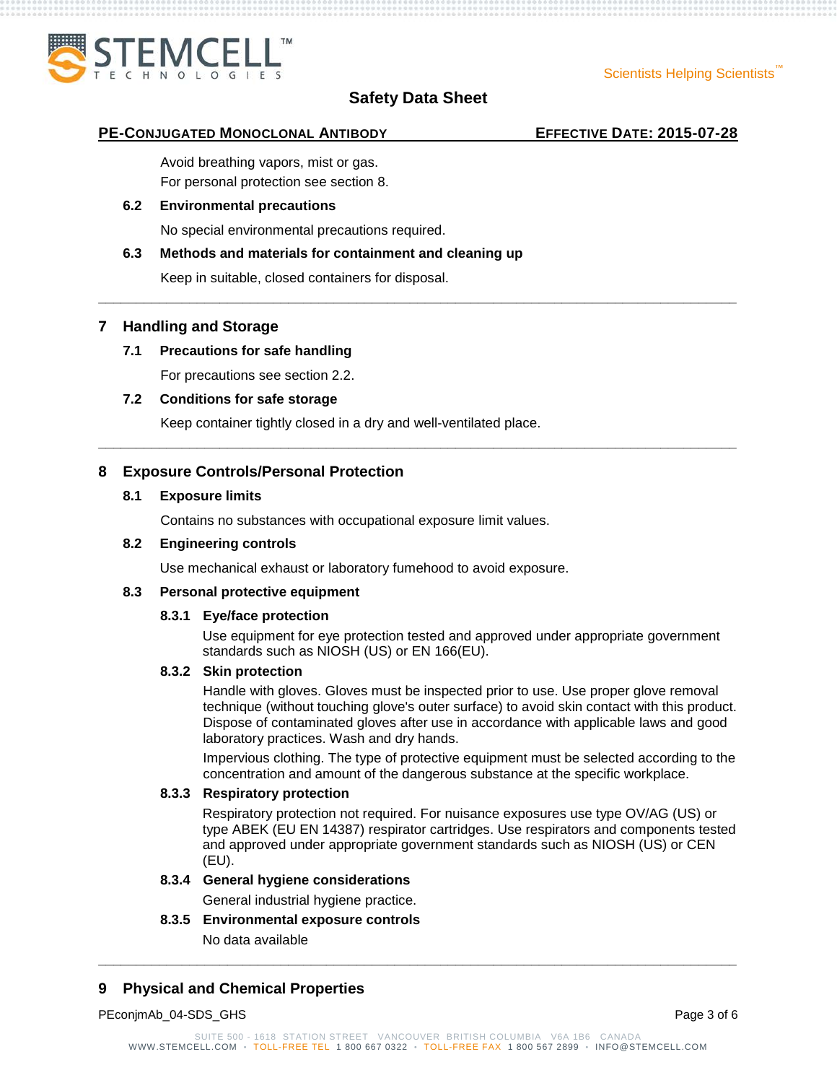

**\_\_\_\_\_\_\_\_\_\_\_\_\_\_\_\_\_\_\_\_\_\_\_\_\_\_\_\_\_\_\_\_\_\_\_\_\_\_\_\_\_\_\_\_\_\_\_\_\_\_\_\_\_\_\_\_\_\_\_\_\_\_\_\_\_\_\_\_\_\_\_\_\_\_\_\_\_\_\_\_\_\_\_\_**

**\_\_\_\_\_\_\_\_\_\_\_\_\_\_\_\_\_\_\_\_\_\_\_\_\_\_\_\_\_\_\_\_\_\_\_\_\_\_\_\_\_\_\_\_\_\_\_\_\_\_\_\_\_\_\_\_\_\_\_\_\_\_\_\_\_\_\_\_\_\_\_\_\_\_\_\_\_\_\_\_\_\_\_\_**

#### **PE-CONJUGATED MONOCLONAL ANTIBODY EFFECTIVE DATE: 2015-07-28**

Avoid breathing vapors, mist or gas. For personal protection see section 8.

### **6.2 Environmental precautions**

No special environmental precautions required.

### **6.3 Methods and materials for containment and cleaning up**

Keep in suitable, closed containers for disposal.

### **7 Handling and Storage**

## **7.1 Precautions for safe handling**

For precautions see section 2.2.

### **7.2 Conditions for safe storage**

Keep container tightly closed in a dry and well-ventilated place.

## **8 Exposure Controls/Personal Protection**

#### **8.1 Exposure limits**

Contains no substances with occupational exposure limit values.

#### **8.2 Engineering controls**

Use mechanical exhaust or laboratory fumehood to avoid exposure.

#### **8.3 Personal protective equipment**

#### **8.3.1 Eye/face protection**

Use equipment for eye protection tested and approved under appropriate government standards such as NIOSH (US) or EN 166(EU).

#### **8.3.2 Skin protection**

Handle with gloves. Gloves must be inspected prior to use. Use proper glove removal technique (without touching glove's outer surface) to avoid skin contact with this product. Dispose of contaminated gloves after use in accordance with applicable laws and good laboratory practices. Wash and dry hands.

Impervious clothing. The type of protective equipment must be selected according to the concentration and amount of the dangerous substance at the specific workplace.

#### **8.3.3 Respiratory protection**

Respiratory protection not required. For nuisance exposures use type OV/AG (US) or type ABEK (EU EN 14387) respirator cartridges. Use respirators and components tested and approved under appropriate government standards such as NIOSH (US) or CEN (EU).

#### **8.3.4 General hygiene considerations**

General industrial hygiene practice.

## **8.3.5 Environmental exposure controls**

No data available

## **9 Physical and Chemical Properties**

PEconjmAb\_04-SDS\_GHS Page 3 of 6

**\_\_\_\_\_\_\_\_\_\_\_\_\_\_\_\_\_\_\_\_\_\_\_\_\_\_\_\_\_\_\_\_\_\_\_\_\_\_\_\_\_\_\_\_\_\_\_\_\_\_\_\_\_\_\_\_\_\_\_\_\_\_\_\_\_\_\_\_\_\_\_\_\_\_\_\_\_\_\_\_\_\_\_\_**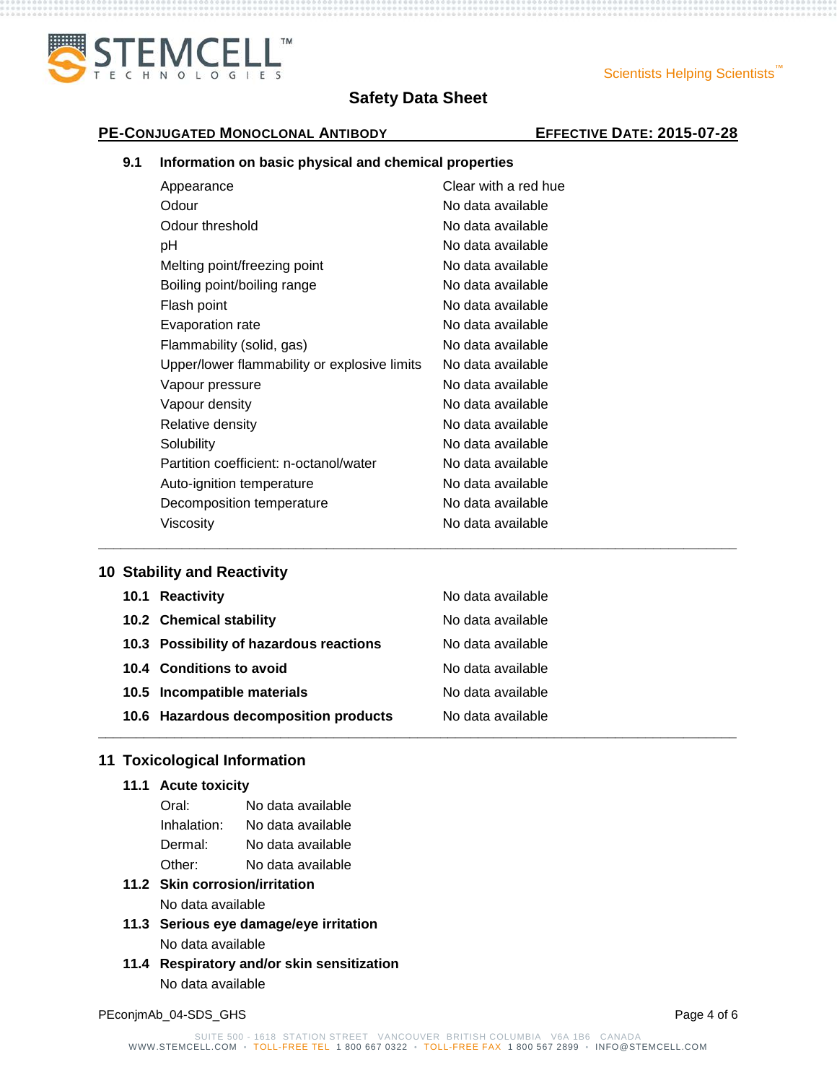

### Scientists Helping Scientists<sup>"</sup>

# **PE-CONJUGATED MONOCLONAL ANTIBODY EFFECTIVE DATE: 2015-07-28**

## **9.1 Information on basic physical and chemical properties**

| Clear with a red hue |
|----------------------|
| No data available    |
| No data available    |
| No data available    |
| No data available    |
| No data available    |
| No data available    |
| No data available    |
| No data available    |
| No data available    |
| No data available    |
| No data available    |
| No data available    |
| No data available    |
| No data available    |
| No data available    |
| No data available    |
| No data available    |
|                      |

## **10 Stability and Reactivity**

| 10.1 Reactivity                         | No data available |
|-----------------------------------------|-------------------|
| 10.2 Chemical stability                 | No data available |
| 10.3 Possibility of hazardous reactions | No data available |
| 10.4 Conditions to avoid                | No data available |
| 10.5 Incompatible materials             | No data available |
| 10.6 Hazardous decomposition products   | No data available |
|                                         |                   |

**\_\_\_\_\_\_\_\_\_\_\_\_\_\_\_\_\_\_\_\_\_\_\_\_\_\_\_\_\_\_\_\_\_\_\_\_\_\_\_\_\_\_\_\_\_\_\_\_\_\_\_\_\_\_\_\_\_\_\_\_\_\_\_\_\_\_\_\_\_\_\_\_\_\_\_\_\_\_\_\_\_\_\_\_**

## **11 Toxicological Information**

## **11.1 Acute toxicity**

| Oral:       | No data available |
|-------------|-------------------|
| Inhalation: | No data available |
| Dermal:     | No data available |
| Other:      | No data available |

## **11.2 Skin corrosion/irritation** No data available

- **11.3 Serious eye damage/eye irritation** No data available
- **11.4 Respiratory and/or skin sensitization** No data available

PEconjmAb\_04-SDS\_GHS Page 4 of 6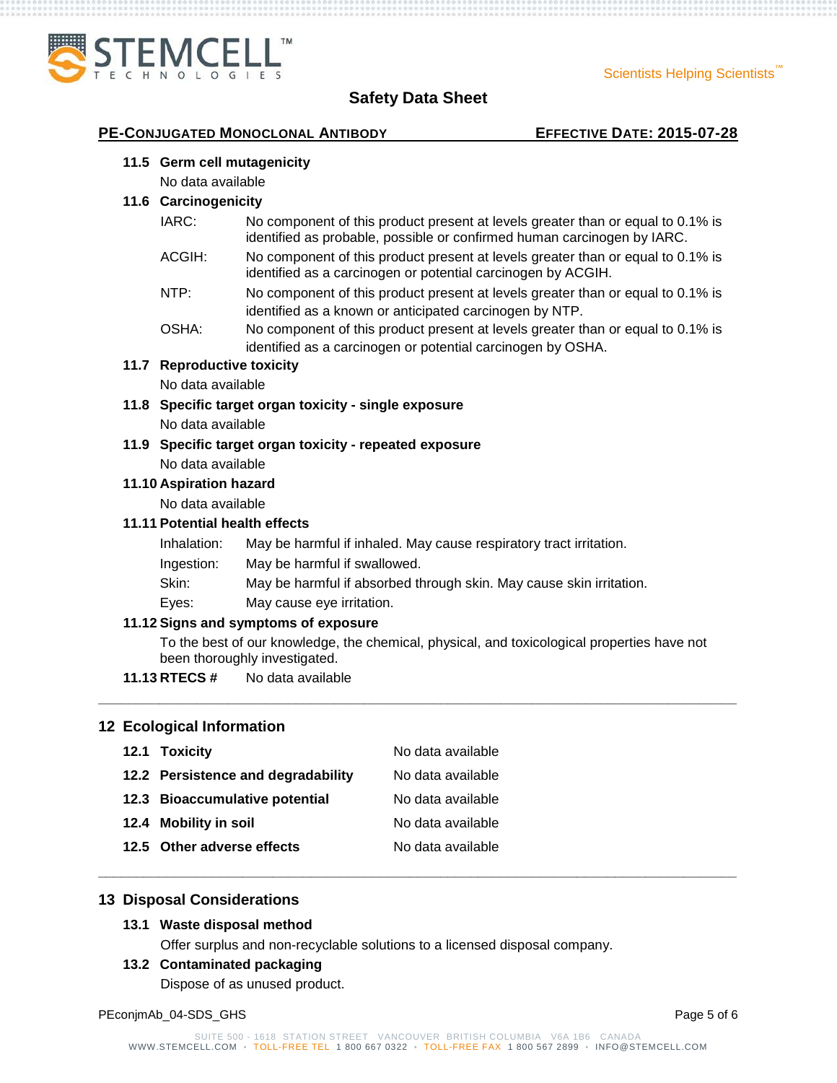

## **PE-CONJUGATED MONOCLONAL ANTIBODY EFFECTIVE DATE: 2015-07-28**

#### **11.5 Germ cell mutagenicity**

No data available

#### **11.6 Carcinogenicity**

- IARC: No component of this product present at levels greater than or equal to 0.1% is identified as probable, possible or confirmed human carcinogen by IARC.
- ACGIH: No component of this product present at levels greater than or equal to 0.1% is identified as a carcinogen or potential carcinogen by ACGIH.
- NTP: No component of this product present at levels greater than or equal to 0.1% is identified as a known or anticipated carcinogen by NTP.
- OSHA: No component of this product present at levels greater than or equal to 0.1% is identified as a carcinogen or potential carcinogen by OSHA.

#### **11.7 Reproductive toxicity**

No data available

- **11.8 Specific target organ toxicity - single exposure** No data available
- **11.9 Specific target organ toxicity - repeated exposure** No data available

#### **11.10 Aspiration hazard**

No data available

### **11.11 Potential health effects**

- Inhalation: May be harmful if inhaled. May cause respiratory tract irritation.
- Ingestion: May be harmful if swallowed.
- Skin: May be harmful if absorbed through skin. May cause skin irritation.
- Eyes: May cause eye irritation.

#### **11.12 Signs and symptoms of exposure**

To the best of our knowledge, the chemical, physical, and toxicological properties have not been thoroughly investigated.

**\_\_\_\_\_\_\_\_\_\_\_\_\_\_\_\_\_\_\_\_\_\_\_\_\_\_\_\_\_\_\_\_\_\_\_\_\_\_\_\_\_\_\_\_\_\_\_\_\_\_\_\_\_\_\_\_\_\_\_\_\_\_\_\_\_\_\_\_\_\_\_\_\_\_\_\_\_\_\_\_\_\_\_\_**

**\_\_\_\_\_\_\_\_\_\_\_\_\_\_\_\_\_\_\_\_\_\_\_\_\_\_\_\_\_\_\_\_\_\_\_\_\_\_\_\_\_\_\_\_\_\_\_\_\_\_\_\_\_\_\_\_\_\_\_\_\_\_\_\_\_\_\_\_\_\_\_\_\_\_\_\_\_\_\_\_\_\_\_\_**

**11.13 RTECS #** No data available

#### **12 Ecological Information**

| 12.1 Toxicity                      | No data available |
|------------------------------------|-------------------|
| 12.2 Persistence and degradability | No data available |
| 12.3 Bioaccumulative potential     | No data available |
| 12.4 Mobility in soil              | No data available |
| 12.5 Other adverse effects         | No data available |

### **13 Disposal Considerations**

#### **13.1 Waste disposal method**

Offer surplus and non-recyclable solutions to a licensed disposal company.

#### **13.2 Contaminated packaging**

Dispose of as unused product.

PEconjmAb\_04-SDS\_GHS Page 5 of 6